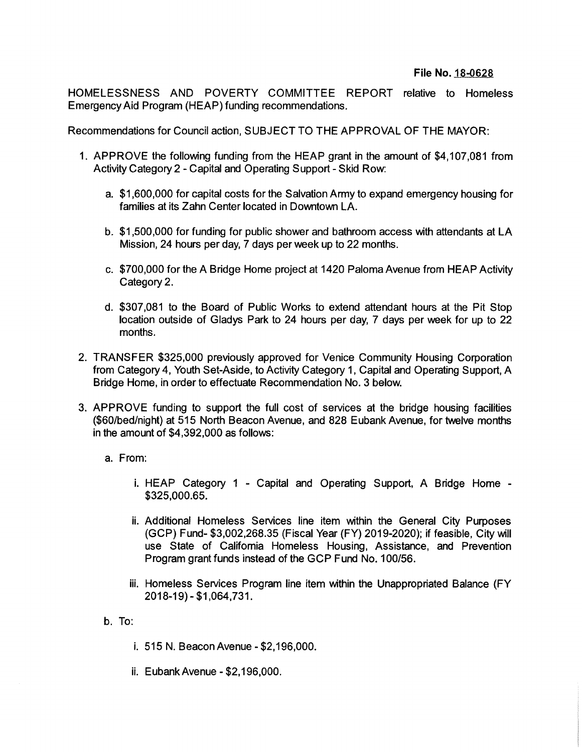HOMELESSNESS AND POVERTY COMMITTEE REPORT relative to Homeless Emergency Aid Program (HEAP) funding recommendations.

Recommendations for Council action, SUBJECT TO THE APPROVAL OF THE MAYOR:

- 1. APPROVE the following funding from the HEAP grant in the amount of \$4,107,081 from Activity Category 2 - Capital and Operating Support - Skid Row:
	- a. \$1,600,000 for capital costs for the Salvation Army to expand emergency housing for families at its Zahn Center located in Downtown LA.
	- b. \$1,500,000 for funding for public shower and bathroom access with attendants at LA Mission, 24 hours per day, 7 days per week up to 22 months.
	- c. \$700,000 for the A Bridge Home project at 1420 Paloma Avenue from HEAP Activity Category 2.
	- d. \$307,081 to the Board of Public Works to extend attendant hours at the Pit Stop location outside of Gladys Park to 24 hours per day, 7 days per week for up to 22 months.
- 2. TRANSFER \$325,000 previously approved for Venice Community Housing Corporation from Category 4, Youth Set-Aside, to Activity Category 1, Capital and Operating Support, A Bridge Home, in order to effectuate Recommendation No. 3 below.
- 3. APPROVE funding to support the full cost of services at the bridge housing facilities (\$60/bed/night) at 515 North Beacon Avenue, and 828 Eubank Avenue, for twelve months in the amount of \$4,392,000 as follows:
	- a. From:
		- i. HEAP Category <sup>1</sup> Capital and Operating Support, A Bridge Home \$325,000.65.
		- ii. Additional Homeless Services line item within the General City Purposes (GCP) Fund- \$3,002,268.35 (Fiscal Year (FY) 2019-2020); if feasible, City will use State of California Homeless Housing, Assistance, and Prevention Program grant funds instead of the GCP Fund No. 100/56.
		- iii. Homeless Services Program line item within the Unappropriated Balance (FY 2018-19)-\$1,064,731.
	- b. To:
		- i. 515 N. Beacon Avenue-\$2,196,000.
		- ii. EubankAvenue \$2,196,000.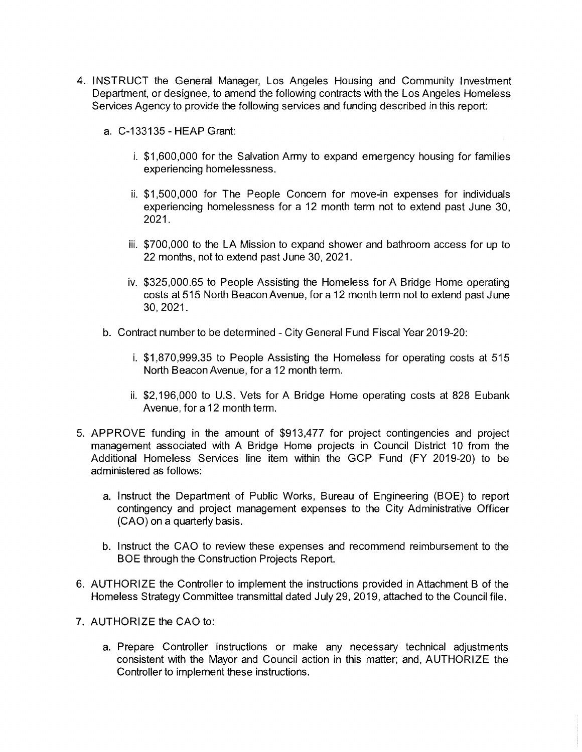- 4. INSTRUCT the General Manager, Los Angeles Housing and Community Investment Department, or designee, to amend the following contracts with the Los Angeles Homeless Services Agency to provide the following services and funding described in this report:
	- a. C-133135-HEAP Grant:
		- i. \$1,600,000 for the Salvation Army to expand emergency housing for families experiencing homelessness.
		- ii. \$1,500,000 for The People Concern for move-in expenses for individuals experiencing homelessness for a 12 month term not to extend past June 30, 2021.
		- iii. \$700,000 to the LA Mission to expand shower and bathroom access for up to 22 months, not to extend past June 30, 2021.
		- iv. \$325,000.65 to People Assisting the Homeless for A Bridge Home operating costs at 515 North Beacon Avenue, for a 12 month term not to extend past June 30, 2021.
	- b. Contract number to be determined City General Fund Fiscal Year 2019-20:
		- i. \$1,870,999.35 to People Assisting the Homeless for operating costs at 515 North Beacon Avenue, for a 12 month term.
		- ii. \$2,196,000 to U.S. Vets for A Bridge Home operating costs at 828 Eubank Avenue, for a 12 month term.
- 5. APPROVE funding in the amount of \$913,477 for project contingencies and project management associated with A Bridge Home projects in Council District 10 from the Additional Homeless Services line item within the GCP Fund (FY 2019-20) to be administered as follows:
	- a. Instruct the Department of Public Works, Bureau of Engineering (BOE) to report contingency and project management expenses to the City Administrative Officer (CAO) on a quarterly basis.
	- b. <sup>I</sup> nstruct the CAO to review these expenses and recommend reimbursement to the BOE through the Construction Projects Report.
- 6. AUTHORIZE the Controller to implement the instructions provided in Attachment B of the Homeless Strategy Committee transmittal dated July 29, 2019, attached to the Council file.
- 7. AUTHORIZE the CAO to:
	- a. Prepare Controller instructions or make any necessary technical adjustments consistent with the Mayor and Council action in this matter; and, AUTHORIZE the Controller to implement these instructions.